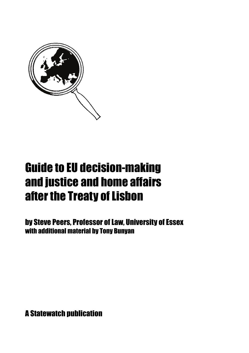

# Guide to EU decision-making and justice and home affairs after the Treaty of Lisbon

by Steve Peers, Professor of Law, University of Essex with additional material by Tony Bunyan

A Statewatch publication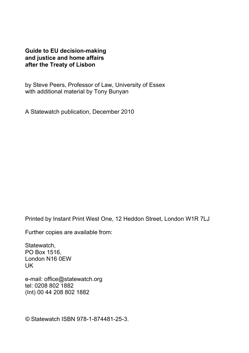# **Guide to EU decision-making and justice and home affairs after the Treaty of Lisbon**

by Steve Peers, Professor of Law, University of Essex with additional material by Tony Bunyan

A Statewatch publication, December 2010

Printed by Instant Print West One, 12 Heddon Street, London W1R 7LJ

Further copies are available from:

Statewatch, PO Box 1516, London N16 0EW UK

e-mail: office@statewatch.org tel: 0208 802 1882 (Int) 00 44 208 802 1882

*©* Statewatch ISBN 978-1-874481-25-3.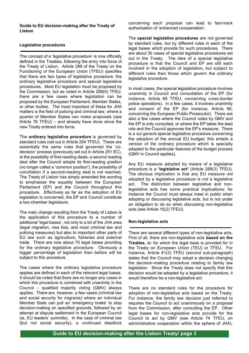# **Guide to EU decision-making after the Treaty of Lisbon**

# **Legislative procedures**

The concept of a 'legislative procedure' is now officially defined in the Treaties, following the entry into force of the Treaty of Lisbon. Article 289 of the Treaty on the Functioning of the European Union (TFEU) specifies that there are two types of legislative procedure: the ordinary legislative procedure and special legislative procedures. Most EU legislation must be proposed by the Commission, but as noted in Article 289(4) TFEU, there are a few cases where legislation can be proposed by the European Parliament, Member States, or other bodies. The most important of these for JHA matters is the field of policing and criminal law, where a quarter of Member States can make proposals (see Article 76 TFEU) – and already have done since the new Treaty entered into force.

The **ordinary legislative procedure** is governed by standard rules (set out in Article 294 TFEU). These are essentially the same rules that governed the 'codecision' process (previously set out in Article 251 EC), ie the possibility of first-reading deals, a second reading deal after the Council adopts its first-reading position (no longer called a 'common position'), the possibility of conciliation if a second-reading deal is not reached. The Treaty of Lisbon has simply amended the wording to emphasise the equality between the European Parliament (EP) and the Council throughout this procedure. Effectively as far as the adoption of EU legislation is concerned, the EP and Council constitute a two-chamber legislature.

The main change resulting from the Treaty of Lisbon is the application of this procedure to a number of additional 'legal bases', not only to a lot of the JHA area (legal migration, visa lists, and most criminal law and policing measures) but also to important other parts of EU law such as agriculture, fisheries and external trade. There are now about 70 legal bases providing for the ordinary legislative procedure. Obviously a bigger percentage of legislation than before will be subject to this procedure.

The cases where the ordinary legislative procedure applies are defined in each of the relevant legal bases. It should be noted that there are no longer any cases in which this procedure is combined with unanimity in the Council – qualified majority voting (QMV) always applies. There are, however, a few cases (criminal law and social security for migrants) where an individual Member State can pull an 'emergency brake' to stop decision-making on specified grounds, followed by an attempt at dispute settlement in the European Council (ie, EU leaders' summits). In the case of criminal law (but not social security), a continued deadlock

concerning each proposal can lead to fast-track authorisation of 'enhanced coooperation'.

The **special legislative procedures** are not governed by standard rules, but by different rules in each of the legal bases which provide for such procedures. There are about 30 cases of special legislative procedures set out in the Treaty. The idea of a special legislative procedure is that the Council and EP are still each involved in the adoption of legislation, but subject to different rules than those which govern the ordinary legislative procedure.

In most cases, the special legislative procedure involves unanimity in Council and consultation of the EP (for instance, Article 89 TFEU, concerning cross-border police operations). In a few cases, it involves unanimity and consent of the EP (for instance, Article 86, concerning the European Public Prosecutor). There are also a few cases where the Council votes by QMV and the EP is only consulted, or where the EP takes the lead role and the Council approves the EP's measure. There is a *sui generis* special legislative procedure concerning the adoption of the annual EU budget; this entails a version of the ordinary procedure which is specially adapted to the particular features of the budget process (QMV in Council applies).

Any EU measure adopted by means of a legislative procedure is a **'legislative act'** (Article 289(3) TFEU). The obvious implication is that any EU measure *not* adopted by a legislative procedure is *not* a legislative act. The distinction between legislative and nonlegislative acts has some practical implications: for instance the Council must always meet in public when adopting or discussing legislative acts, but is not under an obligation to do so when discussing non-legislative acts (see Article 15(2) TFEU).

# **Non-legislative acts**

There are several different types of non-legislative acts. First of all, there are non-legislative acts **based on the Treaties**, ie: for which the legal base is provided for in the Treaty on European Union (TEU) or TFEU. For instance, Article 81(3) TFEU (second sub-paragraph) states that the Council may adopt a decision changing the decision-making procedure relating to family law legislation. Since the Treaty does not specify that this decision would be adopted by a legislative procedure, it would therefore be a non-legislative act.

There are no standard rules for the procedure for adoption of non-legislative acts based on the Treaty. For instance, the family law decision just referred to requires the Council to act unanimously on a proposal from the Commission, after consulting the EP. Other legal bases for non-legislative acts provide for the Council to act by QMV (see Article 74 TFEU, on administrative cooperation within the sphere of JHA).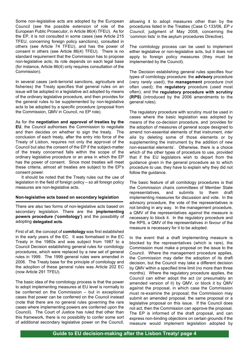Some non-legislative acts are adopted by the European Council (see the possible extension of role of the European Public Prosecutor, in Article 86(4) TFEU). As for the EP, it is not consulted in some cases (see Article 215 TFEU, concerning foreign policy sanctions), consulted in others (see Article 74 TFEU), and has the power of consent in others (see Article 86(4) TFEU). There is no standard requirement that the Commission has to propose non-legislative acts; its role depends on each legal base (for instance, Article 86(4) only requires consultation of the Commission).

In several cases (anti-terrorist sanctions, agriculture and fisheries) the Treaty specifies that general rules on an issue will be adopted in a legislative act adopted by means of the ordinary legislative procedure, and then provides for the general rules to be supplemented by non-legislative acts to be adopted by a specific procedure (proposal from the Commission, QMV in Council, no EP role).

As for the **negotiation and approval of treaties by the EU**, the Council authorises the Commission to negotiate and then decides on whether to sign the treaty. The conclusion of each treaty, after the entry into force of the Treaty of Lisbon, requires not only the approval of the Council but also the consent of the EP if the subject-matter of the treaty concerned falls within the scope of the ordinary legislative procedure or an area in which the EP has the power of consent. Since most treaties will meet these criteria, almost all treaties are subject to the EP's consent power.

It should be noted that the Treaty rules out the use of legislation in the field of foreign policy – so all foreign policy measures are non-legislative acts.

#### **Non-legislative acts based on secondary legislation**

There are also two forms of non-legislative acts based on secondary legislation. There are the **implementing powers procedure ('comitology')** and the possibility of adopting **delegated acts**.

First of all, the concept of **comitology** was first established in the early years of the EC. It was formalised in the EC Treaty in the 1980s and was subject from 1987 to a Council Decision establishing general rules for comitology procedures, which were replaced by a new set of general rules in 1999. The 1999 general rules were amended in 2006. The Treaty base for the principle of comitology and the adoption of these general rules was Article 202 EC (now Article 291 TFEU).

The basic idea of the comitology process is that the power to adopt implementing measures at EU level is normally to be conferred on the Commission – but in exceptional cases that power can be conferred on the Council instead (note that there are no general rules governing the rare cases where implementing powers are conferred upon the Council). The Court of Justice has ruled that other than this framework, there is no possibility to confer some sort of additional secondary legislative power on the Council, allowing it to adopt measures other than by the procedures listed in the Treaties (Case C-133/06, *EP v Council*, judgment of May 2008, concerning the 'common lists' in the asylum procedures Directive).

The comitology process can be used to implement either legislative or non-legislative acts, but it does not apply to foreign policy measures (they must be implemented by the Council).

The Decision establishing general rules specifies four types of comitology procedure: the **advisory** procedure (very rarely used); the **management** procedure (not often used); the **regulatory** procedure (used most often); and the **regulatory procedure with scrutiny (RPS)** (introduced by the 2006 amendments to the general rules).

The regulatory procedure with scrutiny *must* be used in cases where the basic legislation was adopted by means of the co-decision procedure, and 'provides for the adoption of measures of general scope designed to amend non-essential elements of that instrument, *inter alia* by deleting some of those elements or by supplementing the instrument by the addition of new non-essential elements'. Otherwise, there is a choice which of the other types of procedure to use, provided that if the EU legislators wish to depart from the guidance given in the general procedure as to which procedure to use, they have to explain why they did not follow the quidance.

The basic feature of all comitology procedures is that the Commission chairs committees of Member State representatives, and submits to them draft implementing measures for discussion and vote. In the advisory procedure, the vote of the representatives is not binding in any way. In the management procedure, a QMV of the representatives *against* the measure is necessary to block it. In the regulatory procedure and the RPS, a QMV of the representatives *in favour* of the measure is necessary for it to be adopted.

In the event that a draft implementing measure is blocked by the representatives (which is rare), the Commission must make a proposal on the issue to the Council. Where the management procedure applies, the Commission may defer the adoption of its draft decision, but the Council may take a different decision by QMV within a specified time limit (no more than three months). Where the regulatory procedure applies, the Council can either adopt the act (or presumably an amended version of it) by QMV, or block it by QMV against the proposal, in which case the Commission must re-examine the proposal; the Commission may submit an amended proposal, the same proposal or a legislative proposal on this issue. If the Council does not act, then the Commission can approve the proposal. The EP is informed of the draft proposal, and can express non-binding objections on certain grounds if the measure would implement legislation adopted by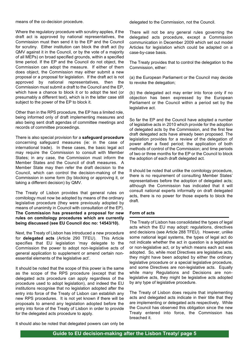means of the co-decision procedure.

Where the regulatory procedure with scrutiny applies, if the draft act is approved by national representatives, the Commission must then send it to the EP and the Council for scrutiny. Either institution can block the draft act (by QMV against it in the Council, or by the vote of a majority of all MEPs) on broad specified grounds, within a specified time period. If the EP and the Council do not object, the Commission can adopt the measure. If either of them does object, the Commission may either submit a new proposal or a proposal for legislation. If the draft act is not approved by national representatives, then the Commission must submit a draft to the Council and the EP, which have a chance to block it or to adopt the text (or presumably a different text), which is in the latter case still subject to the power of the EP to block it.

Other than in the RPS procedure, the EP has a limited role, being informed only of draft implementing measures and also being sent draft agendas of committee meetings and records of committee proceedings.

There is also special provision for a **safeguard procedure** concerning safeguard measures (ie: in the case of international trade). In these cases, the basic legal act may require the Commission to consult with Member States; in any case, the Commission must inform the Member States and the Council of draft measures. A Member State may then refer the draft decision to the Council, which can control the decision-making of the Commission in some form (by blocking or approving it, or taking a different decision) by QMV.

The Treaty of Lisbon provides that general rules on comitology must now be adopted by means of the ordinary legislative procedure (they were previously adopted by means of unanimity in Council with consultation of the EP). **The Commission has presented a proposal for new rules on comitology procedures which are currently being discussed (see EU Council doc no: 14543/10).**

Next, the Treaty of Lisbon has introduced a new procedure for **delegated acts** (Article 290 TFEU). This Article specifies that EU legislation 'may delegate to the Commission the power to adopt non-legislative acts of general application to supplement or amend certain nonessential elements of the legislative act'.

It should be noted that the scope of this power is the same as the scope of the RPS procedure (except that the delegated acts procedure can apply regardless of the procedure used to adopt legislation), and indeed the EU institutions recognise that no legislation adopted after the entry into force of the Treaty of Lisbon can establish any new RPS procedures. It is not yet known if there will be proposals to amend any legislation adopted before the entry into force of the Treaty of Lisbon in order to provide for the delegated acts procedure to apply.

It should also be noted that delegated powers can only be

delegated to the Commission, not the Council.

There will not be any general rules governing the delegated acts procedure, except a Commission communication in December 2009 which set out model Articles for legislation which could be adapted on a case-by-case basis.

The Treaty provides that to control the delegation to the Commission, either:

(a) the European Parliament or the Council may decide to revoke the delegation;

(b) the delegated act may enter into force only if no objection has been expressed by the European Parliament or the Council within a period set by the legislative act.

So far the EP and the Council have adopted a number of legislative acts in 2010 which provide for the adoption of delegated acts by the Commission, and the first few draft delegated acts have already been proposed. The legislation provides for a review of the delegation of power after a fixed period; the application of both methods of control of the Commission; and time periods of two or three months for the EP or the Council to block the adoption of each draft delegated act.

It should be noted that unlike the comitology procedure, there is no requirement of consulting Member States' representatives before the adoption of delegated acts; although the Commission has indicated that it will consult national experts informally on draft delegated acts, there is no power for those experts to block the draft.

#### **Form of acts**

The Treaty of Lisbon has consolidated the types of legal acts which the EU may adopt: regulations, directives and decisions (see Article 288 TFEU). However, unlike some national legal systems, the types of legal act do not indicate whether the act in question is a legislative or non-legislative act, or by which means each act was adopted. So, while most Directives are legislative acts, they might have been adopted by either the ordinary legislative procedure or a special legislative procedure, and some Directives are non-legislative acts. Equally while many Regulations and Decisions are nonlegislative acts, they might be legislative acts adopted by any type of legislative procedure.

The Treaty of Lisbon does require that implementing acts and delegated acts indicate in their title that they are implementing or delegated acts respectively. While the Council has observed this obligation since the new Treaty entered into force, the Commission has breached it.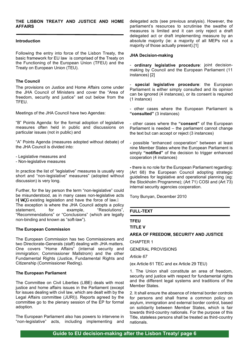# **Introduction**

Following the entry into force of the Lisbon Treaty, the basic framework for EU law is comprised of the Treaty on the Functioning of the European Union (TFEU) and the Treaty on European Union (TEU).

# **The Council**

The provisions on Justice and Home Affairs come under the JHA Council of Ministers and cover the "Area of freedom, security and justice" set out below from the TFEU.

Meetings of the JHA Council have two Agendas:

"B" Points Agenda: for the formal adoption of legislative measures often held in public and discussions on particular issues (not in public) and

"A" Points Agenda (measures adopted without debate) of the JHA Council is divided into:

- Legislative measures and
- Non-legislative measures

In practice the list of "legislative" measures is usually very short and "non-legislative" measures" (adopted without discussion) is very long.

Further, for the lay person the term "non-legislative" could be misunderstood, as in many cases non-legislative acts  $\alpha$ cc<sup> $\lambda$ </sup> a existing legislation and have the force of law. A The exception is where the JHA Council adopts a policy statement, for example, "Resolutions", "Recommendations" or "Conclusions" (which are legally non-binding and known as "soft-law").

# **The European Commission**

The European Commission has two Commissioners and two Directorate-Generals (staff) dealing with JHA matters. One covers "Home Affairs" (internal security and immigration; Commissioner Mallstrom) and the other Fundamental Rights (Justice, Fundamental Rights and Citizenship (Commissioner Reding).

#### **The European Parliament**

The Committee on Civil Liberties (LIBE) deals with most justice and home affairs issues in the Parliament (except for issues dealing with civil law, which are dealt with by the Legal Affairs committee (JURI)). Reports agreed by the committee go to the plenary session of the EP for formal adoption.

The European Parliament also has powers to intervene in "non-legislative" acts, including implementing and delegated acts (see previous analysis). However, the parliament's resources to scrutinise the swathe of measures is limited and it can only reject a draft delegated act or draft implementing measure by an absolute majority (ie: a majority of all MEPs not a majority of those actually present).[1]

#### **JHA Decision-making**

- **ordinary legislative procedure**: joint decisionmaking by Council and the European Parliament (11 instances) [2]

special legislative procedure: the European Parliament is either simply consulted and its opinion can be ignored (4 instances), or its consent is required (1 instance)

- other cases where the European Parliament is **"consulted"** (3 instances)

- other cases where the **"consent"** of the European Parliament is needed – the parliament cannot change the text but can accept or reject (3 instances)

- possible "enhanced cooperation" between at least nine Member States where the European Parliament is simply **"notified"** of the decision to trigger enhanced cooperation (4 instances)

**-** there is no role for the European Parliament regarding: (Art 68) the European Council adopting strategic guidelines for legislative and operational planning (eg: the Stockholm Programme); (Art 71) COSI and (Art 73) internal security agencies cooperation.

Tony Bunyan, December 2010

#### **FULL-TEXT**

**TFEU TITLE V**

#### **AREA OF FREEDOM, SECURITY AND JUSTICE**

CHAPTER 1

GENERAL PROVISIONS

*Article 67*

(ex Article 61 TEC and ex Article 29 TEU)

1. The Union shall constitute an area of freedom, security and justice with respect for fundamental rights and the different legal systems and traditions of the Member States.

2. It shall ensure the absence of internal border controls for persons and shall frame a common policy on asylum, immigration and external border control, based on solidarity between Member States, which is fair towards third-country nationals. For the purpose of this Title, stateless persons shall be treated as third-country nationals.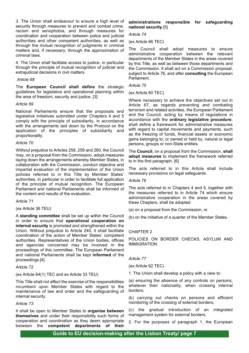3. The Union shall endeavour to ensure a high level of security through measures to prevent and combat crime, racism and xenophobia, and through measures for coordination and cooperation between police and judicial authorities and other competent authorities, as well as through the mutual recognition of judgments in criminal matters and, if necessary, through the approximation of criminal laws.

4. The Union shall facilitate access to justice, in particular through the principle of mutual recognition of judicial and extrajudicial decisions in civil matters.

#### *Article 68*

The **European Council shall define** the strategic guidelines for legislative and operational planning within the area of freedom, security and justice. [3]

#### *Article 69*

National Parliaments ensure that the proposals and legislative initiatives submitted under Chapters 4 and 5 comply with the principle of subsidiarity, in accordance with the arrangements laid down by the Protocol on the application of the principles of subsidiarity and proportionality.

# *Article 70*

Without prejudice to Articles 258, 259 and 260, the Council may, on a proposal from the Commission, adopt measures laying down the arrangements whereby Member States, in collaboration with the Commission, conduct objective and impartial evaluation of the implementation of the Union policies referred to in this Title by Member States' authorities, in particular in order to facilitate full application of the principle of mutual recognition. The European Parliament and national Parliaments shall be informed of the content and results of the evaluation.

#### *Article 71*

# (ex Article 36 TEU)

A **standing committee** shall be set up within the Council in order to ensure that **operational cooperation on internal security** is promoted and strengthened within the Union. Without prejudice to Article 240, it shall facilitate coordination of the action of Member States' competent authorities. Representatives of the Union bodies, offices and agencies concerned may be involved in the proceedings of this committee. The European Parliament and national Parliaments shall be kept **informed** of the proceedings.[4]

#### *Article 72*

# (ex Article 64(1) TEC and ex Article 33 TEU)

This Title shall not affect the exercise of the responsibilities incumbent upon Member States with regard to the maintenance of law and order and the safeguarding of internal security.

# *Article 73*

It shall be open to Member States to **organise between themselves** and under their responsibility such forms of cooperation and coordination as they deem appropriate between the **competent departments of their**

# **administrations responsible for safeguarding national security**.[5]

# *Article 74*

(ex Article 66 TEC)

The Council shall adopt measures to ensure administrative cooperation between the relevant departments of the Member States in the areas covered by this Title, as well as between those departments and the Commission. It shall act on a Commission proposal, subject to Article 76, and after **consulting** the European Parliament.

#### *Article 75*

(ex Article 60 TEC)

Where necessary to achieve the objectives set out in Article 67, as regards preventing and combating terrorism and related activities, the European Parliament and the Council, acting by means of regulations in accordance with the **ordinary legislative procedure**, shall define a framework for administrative measures with regard to capital movements and payments, such as the freezing of funds, financial assets or economic gains belonging to, or owned or held by, natural or legal persons, groups or non-State entities.

The **Council**, on a proposal from the Commission, **shall adopt measures** to implement the framework referred to in the first paragraph. [6]

The acts referred to in this Article shall include necessary provisions on legal safeguards.

#### *Article 76*

The acts referred to in Chapters 4 and 5, together with the measures referred to in Article 74 which ensure administrative cooperation in the areas covered by these Chapters, shall be adopted:

- (a) on a proposal from the Commission, or
- (b) on the initiative of a quarter of the Member States.

# CHAPTER 2

POLICIES ON BORDER CHECKS, ASYLUM AND IMMIGRATION

#### *Article 77*

(ex Article 62 TEC)

1. The Union shall develop a policy with a view to:

(a) ensuring the absence of any controls on persons, whatever their nationality, when crossing internal borders;

(b) carrying out checks on persons and efficient monitoring of the crossing of external borders;

(c) the gradual introduction of an integrated management system for external borders.

2. For the purposes of paragraph 1, the European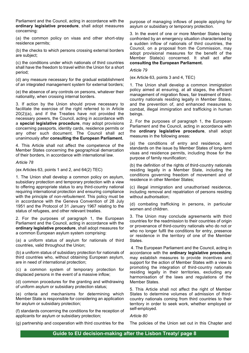Parliament and the Council, acting in accordance with the **ordinary legislative procedure**, shall adopt measures concerning:

(a) the common policy on visas and other short-stay residence permits;

(b) the checks to which persons crossing external borders are subject;

(c) the conditions under which nationals of third countries shall have the freedom to travel within the Union for a short period;

(d) any measure necessary for the gradual establishment of an integrated management system for external borders;

(e) the absence of any controls on persons, whatever their nationality, when crossing internal borders.

3. If action by the Union should prove necessary to facilitate the exercise of the right referred to in Article 20(2)(a), and if the Treaties have not provided the necessary powers, the Council, acting in accordance with a **special legislative procedure**, may adopt provisions concerning passports, identity cards, residence permits or any other such document. The Council shall act unanimously after **consulting the European Parliament.**

4. This Article shall not affect the competence of the Member States concerning the geographical demarcation of their borders, in accordance with international law.

#### *Article 78*

(ex Articles 63, points 1 and 2, and 64(2) TEC)

1. The Union shall develop a common policy on asylum, subsidiary protection and temporary protection with a view to offering appropriate status to any third-country national requiring international protection and ensuring compliance with the principle of *non-refoulement*. This policy must be in accordance with the Geneva Convention of 28 July 1951 and the Protocol of 31 January 1967 relating to the status of refugees, and other relevant treaties.

2. For the purposes of paragraph 1, the European Parliament and the Council, acting in accordance with the **ordinary legislative procedure**, shall adopt measures for a common European asylum system comprising:

(a) a uniform status of asylum for nationals of third countries, valid throughout the Union;

(b) a uniform status of subsidiary protection for nationals of third countries who, without obtaining European asylum, are in need of international protection;

(c) a common system of temporary protection for displaced persons in the event of a massive inflow;

(d) common procedures for the granting and withdrawing of uniform asylum or subsidiary protection status;

(e) criteria and mechanisms for determining which Member State is responsible for considering an application for asylum or subsidiary protection;

(f) standards concerning the conditions for the reception of applicants for asylum or subsidiary protection;

(g) partnership and cooperation with third countries for the

purpose of managing inflows of people applying for asylum or subsidiary or temporary protection.

3. In the event of one or more Member States being confronted by an emergency situation characterised by a sudden inflow of nationals of third countries, the Council, on a proposal from the Commission, may adopt provisional measures for the benefit of the Member State(s) concerned. It shall act after **consulting the European Parliament.**

#### *Article 79*

(ex Article 63, points 3 and 4, TEC)

1. The Union shall develop a common immigration policy aimed at ensuring, at all stages, the efficient management of migration flows, fair treatment of thirdcountry nationals residing legally in Member States, and the prevention of, and enhanced measures to combat, illegal immigration and trafficking in human beings.

2. For the purposes of paragraph 1, the European Parliament and the Council, acting in accordance with the **ordinary legislative procedure**, shall adopt measures in the following areas:

(a) the conditions of entry and residence, and standards on the issue by Member States of long-term visas and residence permits, including those for the purpose of family reunification;

(b) the definition of the rights of third-country nationals residing legally in a Member State, including the conditions governing freedom of movement and of residence in other Member States;

(c) illegal immigration and unauthorised residence, including removal and repatriation of persons residing without authorisation;

(d) combating trafficking in persons, in particular women and children.

3. The Union may conclude agreements with third countries for the readmission to their countries of origin or provenance of third-country nationals who do not or who no longer fulfil the conditions for entry, presence or residence in the territory of one of the Member States.

 4. The European Parliament and the Council, acting in accordance with the **ordinary legislative procedure**, may establish measures to provide incentives and support for the action of Member States with a view to promoting the integration of third-country nationals residing legally in their territories, excluding any harmonisation of the laws and regulations of the Member States.

5. This Article shall not affect the right of Member States to determine volumes of admission of thirdcountry nationals coming from third countries to their territory in order to seek work, whether employed or self-employed.

#### *Article 80*

The policies of the Union set out in this Chapter and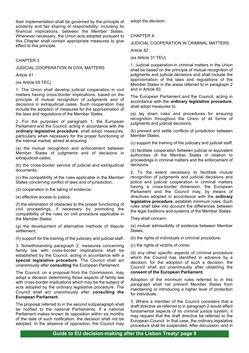their implementation shall be governed by the principle of solidarity and fair sharing of responsibility, including its financial implications, between the Member States. Whenever necessary, the Union acts adopted pursuant to this Chapter shall contain appropriate measures to give effect to this principle.

# CHAPTER 3

#### JUDICIAL COOPERATION IN CIVIL MATTERS

# *Article 81*

# (ex Article 65 TEC)

1. The Union shall develop judicial cooperation in civil matters having cross-border implications, based on the principle of mutual recognition of judgments and of decisions in extrajudicial cases. Such cooperation may include the adoption of measures for the approximation of the laws and regulations of the Member States.

2. For the purposes of paragraph 1, the European Parliament and the Council, acting in accordance with the **ordinary legislative procedure**, shall adopt measures, particularly when necessary for the proper functioning of the internal market, aimed at ensuring:

(a) the mutual recognition and enforcement between Member States of judgments and of decisions in extrajudicial cases;

(b) the cross-border service of judicial and extrajudicial documents;

(c) the compatibility of the rules applicable in the Member States concerning conflict of laws and of jurisdiction;

(d) cooperation in the taking of evidence;

(e) effective access to justice;

(f) the elimination of obstacles to the proper functioning of civil proceedings, if necessary by promoting the compatibility of the rules on civil procedure applicable in the Member States;

(g) the development of alternative methods of dispute settlement;

(h) support for the training of the judiciary and judicial staff.

3. Notwithstanding paragraph 2, measures concerning family law with cross-border implications shall be established by the Council, acting in accordance with a **special legislative procedure**. The Council shall act unanimously after **consulting** the European Parliament.

The Council, on a proposal from the Commission, may adopt a decision determining those aspects of family law with cross-border implications which may be the subject of acts adopted by the ordinary legislative procedure. The Council shall act unanimously after **consulting the European Parliament**.

The proposal referred to in the second subparagraph shall be notified to the national Parliaments. If a national Parliament makes known its opposition within six months of the date of such notification, the decision shall not be adopted. In the absence of opposition, the Council may adopt the decision.

CHAPTER 4

# JUDICIAL COOPERATION IN CRIMINAL MATTERS

*Article 82*

(ex Article 31 TEU)

1. Judicial cooperation in criminal matters in the Union shall be based on the principle of mutual recognition of judgments and judicial decisions and shall include the approximation of the laws and regulations of the Member States in the areas referred to in paragraph 2 and in Article 83.

The European Parliament and the Council, acting in accordance with the **ordinary legislative procedure**, shall adopt measures to:

(a) lay down rules and procedures for ensuring recognition throughout the Union of all forms of judgments and judicial decisions;

(b) prevent and settle conflicts of jurisdiction between Member States;

(c) support the training of the judiciary and judicial staff;

(d) facilitate cooperation between judicial or equivalent authorities of the Member States in relation to proceedings in criminal matters and the enforcement of decisions.

2. To the extent necessary to facilitate mutual recognition of judgments and judicial decisions and police and judicial cooperation in criminal matters having a cross-border dimension, the European Parliament and the Council may, by means of directives adopted in accordance with the **ordinary legislative procedure**, establish minimum rules. Such rules shall take into account the differences between the legal traditions and systems of the Member States.

They shall concern:

(a) mutual admissibility of evidence between Member States;

(b) the rights of individuals in criminal procedure;

(c) the rights of victims of crime;

(d) any other specific aspects of criminal procedure which the Council has identified in advance by a decision; for the adoption of such a decision, the Council shall act unanimously after obtaining the **consent of the European Parliament.**

Adoption of the minimum rules referred to in this paragraph shall not prevent Member States from maintaining or introducing a higher level of protection for individuals.

3. Where a member of the Council considers that a draft directive as referred to in paragraph 2 would affect fundamental aspects of its criminal justice system, it may request that the draft directive be referred to the European Council. In that case, the ordinary legislative procedure shall be suspended. After discussion, and in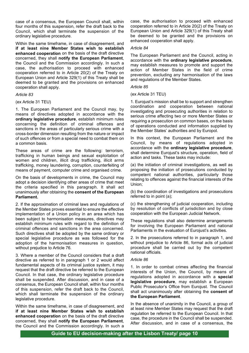case of a consensus, the European Council shall, within four months of this suspension, refer the draft back to the Council, which shall terminate the suspension of the ordinary legislative procedure.

Within the same timeframe, in case of disagreement, and **if at least nine Member States wish to establish enhanced cooperation** on the basis of the draft directive concerned, they shall **notify the European Parliament**, the Council and the Commission accordingly. In such a case, the authorisation to proceed with enhanced cooperation referred to in Article 20(2) of the Treaty on European Union and Article 329(1) of this Treaty shall be deemed to be granted and the provisions on enhanced cooperation shall apply.

#### *Article 83*

#### (ex Article 31 TEU)

1. The European Parliament and the Council may, by means of directives adopted in accordance with the **ordinary legislative procedure**, establish minimum rules concerning the definition of criminal offences and sanctions in the areas of particularly serious crime with a cross-border dimension resulting from the nature or impact of such offences or from a special need to combat them on a common basis.

These areas of crime are the following: terrorism, trafficking in human beings and sexual exploitation of women and children, illicit drug trafficking, illicit arms trafficking, money laundering, corruption, counterfeiting of means of payment, computer crime and organised crime.

On the basis of developments in crime, the Council may adopt a decision identifying other areas of crime that meet the criteria specified in this paragraph. It shall act unanimously after obtaining the **consent of the European Parliament.**

2. If the approximation of criminal laws and regulations of the Member States proves essential to ensure the effective implementation of a Union policy in an area which has been subject to harmonisation measures, directives may establish minimum rules with regard to the definition of criminal offences and sanctions in the area concerned. Such directives shall be adopted by the same ordinary or special legislative procedure as was followed for the adoption of the harmonisation measures in question, without prejudice to Article 76.

3. Where a member of the Council considers that a draft directive as referred to in paragraph 1 or 2 would affect fundamental aspects of its criminal justice system, it may request that the draft directive be referred to the European Council. In that case, the ordinary legislative procedure shall be suspended. After discussion, and in case of a consensus, the European Council shall, within four months of this suspension, refer the draft back to the Council, which shall terminate the suspension of the ordinary legislative procedure.

Within the same timeframe, in case of disagreement, and **if at least nine Member States wish to establish enhanced cooperation** on the basis of the draft directive concerned, they shall **notify the European Parliament**, the Council and the Commission accordingly. In such a case, the authorisation to proceed with enhanced cooperation referred to in Article 20(2) of the Treaty on European Union and Article 329(1) of this Treaty shall be deemed to be granted and the provisions on enhanced cooperation shall apply.

#### *Article 84*

The European Parliament and the Council, acting in accordance with the **ordinary legislative procedure**, may establish measures to promote and support the action of Member States in the field of crime prevention, excluding any harmonisation of the laws and regulations of the Member States.

#### *Article 85*

(ex Article 31 TEU)

1. Eurojust's mission shall be to support and strengthen coordination and cooperation between national investigating and prosecuting authorities in relation to serious crime affecting two or more Member States or requiring a prosecution on common bases, on the basis of operations conducted and information supplied by the Member States' authorities and by Europol.

In this context, the European Parliament and the Council, by means of regulations adopted in accordance with the **ordinary legislative procedure**, shall determine Eurojust's structure, operation, field of action and tasks. These tasks may include:

(a) the initiation of criminal investigations, as well as proposing the initiation of prosecutions conducted by competent national authorities, particularly those relating to offences against the financial interests of the Union;

(b) the coordination of investigations and prosecutions referred to in point (a);

(c) the strengthening of judicial cooperation, including by resolution of conflicts of jurisdiction and by close cooperation with the European Judicial Network.

These regulations shall also determine arrangements for involving the European Parliament and national Parliaments in the evaluation of Eurojust's activities.

2. In the prosecutions referred to in paragraph 1, and without prejudice to Article 86, formal acts of judicial procedure shall be carried out by the competent national officials.

#### *Article 86*

1. In order to combat crimes affecting the financial interests of the Union, the Council, by means of regulations adopted in accordance with a **special legislative procedure**, may establish a European Public Prosecutor's Office from Eurojust. The Council shall act unanimously after obtaining the **consent of the European Parliament**.

In the absence of unanimity in the Council, a group of at least nine Member States may request that the draft regulation be referred to the European Council. In that case, the procedure in the Council shall be suspended. After discussion, and in case of a consensus, the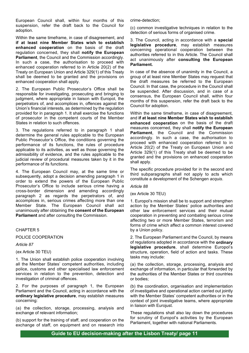European Council shall, within four months of this suspension, refer the draft back to the Council for adoption.

Within the same timeframe, in case of disagreement, and **if at least nine Member States wish to establish enhanced cooperation** on the basis of the draft regulation concerned, they shall **notify the European Parliament**, the Council and the Commission accordingly. In such a case, the authorisation to proceed with enhanced cooperation referred to in Article 20(2) of the Treaty on European Union and Article 329(1) of this Treaty shall be deemed to be granted and the provisions on enhanced cooperation shall apply.

2. The European Public Prosecutor's Office shall be responsible for investigating, prosecuting and bringing to judgment, where appropriate in liaison with Europol, the perpetrators of, and accomplices in, offences against the Union's financial interests, as determined by the regulation provided for in paragraph 1. It shall exercise the functions of prosecutor in the competent courts of the Member States in relation to such offences.

3. The regulations referred to in paragraph 1 shall determine the general rules applicable to the European Public Prosecutor's Office, the conditions governing the performance of its functions, the rules of procedure applicable to its activities, as well as those governing the admissibility of evidence, and the rules applicable to the judicial review of procedural measures taken by it in the performance of its functions.

4. The European Council may, at the same time or subsequently, adopt a decision amending paragraph 1 in order to extend the powers of the European Public Prosecutor's Office to include serious crime having a cross-border dimension and amending accordingly paragraph 2 as regards the perpetrators of, and accomplices in, serious crimes affecting more than one Member State. The European Council shall act unanimously after obtaining the **consent of the European Parliament** and after consulting the Commission.

#### CHAPTER 5

#### POLICE COOPERATION

*Article 87*

(ex Article 30 TEU)

1. The Union shall establish police cooperation involving all the Member States' competent authorities, including police, customs and other specialised law enforcement services in relation to the prevention, detection and investigation of criminal offences.

2. For the purposes of paragraph 1, the European Parliament and the Council, acting in accordance with the **ordinary legislative procedure**, may establish measures concerning:

(a) the collection, storage, processing, analysis and exchange of relevant information;

(b) support for the training of staff, and cooperation on the exchange of staff, on equipment and on research into crime-detection;

(c) common investigative techniques in relation to the detection of serious forms of organised crime.

3. The Council, acting in accordance with a **special legislative procedure**, may establish measures concerning operational cooperation between the authorities referred to in this Article. The Council shall act unanimously after **consulting the European Parliament.**

In case of the absence of unanimity in the Council, a group of at least nine Member States may request that the draft measures be referred to the European Council. In that case, the procedure in the Council shall be suspended. After discussion, and in case of a consensus, the European Council shall, within four months of this suspension, refer the draft back to the Council for adoption.

Within the same timeframe, in case of disagreement, and **if at least nine Member States wish to establish enhanced cooperation** on the basis of the draft measures concerned, they shall **notify the European Parliament**, the Council and the Commission accordingly. In such a case, the authorisation to proceed with enhanced cooperation referred to in Article 20(2) of the Treaty on European Union and Article 329(1) of this Treaty shall be deemed to be granted and the provisions on enhanced cooperation shall apply.

The specific procedure provided for in the second and third subparagraphs shall not apply to acts which constitute a development of the Schengen *acquis*.

# *Article 88*

(ex Article 30 TEU)

1. Europol's mission shall be to support and strengthen action by the Member States' police authorities and other law enforcement services and their mutual cooperation in preventing and combating serious crime affecting two or more Member States, terrorism and forms of crime which affect a common interest covered by a Union policy.

2. The European Parliament and the Council, by means of regulations adopted in accordance with the **ordinary legislative procedure**, shall determine Europol's structure, operation, field of action and tasks. These tasks may include:

(a) the collection, storage, processing, analysis and exchange of information, in particular that forwarded by the authorities of the Member States or third countries or bodies;

(b) the coordination, organisation and implementation of investigative and operational action carried out jointly with the Member States' competent authorities or in the context of joint investigative teams, where appropriate in liaison with Eurojust.

These regulations shall also lay down the procedures for scrutiny of Europol's activities by the European Parliament, together with national Parliaments.